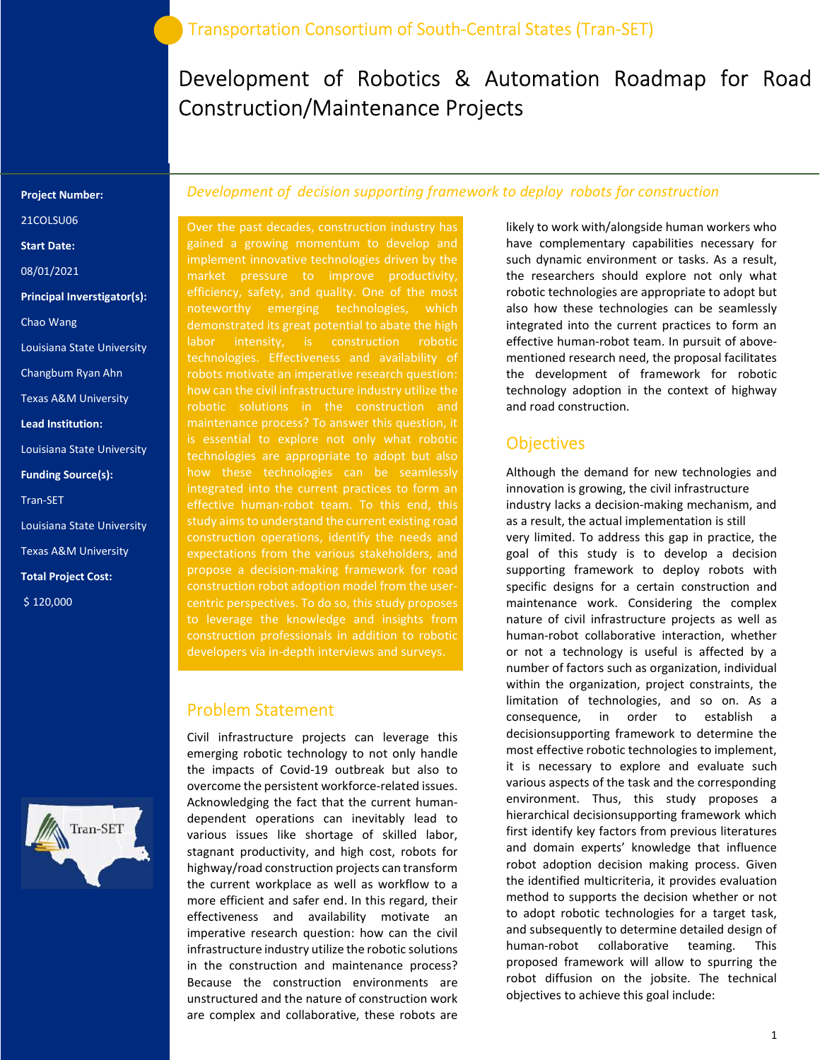# Development of Robotics & Automation Roadmap for Road Construction/Maintenance Projects

#### Project Number:

21COLSU06

Start Date:

08/01/2021

Principal Inverstigator(s):

Chao Wang

- Louisiana State University
- Changbum Ryan Ahn
- Texas A&M University
- Lead Institution:
- Louisiana State University

#### Funding Source(s):

Tran-SET

- Louisiana State University Texas A&M University
- Total Project Cost:

\$ 120,000



#### Development of decision supporting framework to deploy robots for construction

Over the past decades, construction industry has gained a growing momentum to develop and implement innovative technologies driven by the efficiency, safety, and quality. One of the most noteworthy emerging technologies, which demonstrated its great potential to abate the high labor intensity, is construction robotic technologies. Effectiveness and availability of robots motivate an imperative research question: robotic solutions in the construction and maintenance process? To answer this question, it is essential to explore not only what robotic technologies are appropriate to adopt but also how these technologies can be seamlessly integrated into the current practices to form an effective human-robot team. To this end, this study aims to understand the current existing road construction operations, identify the needs and expectations from the various stakeholders, and propose a decision-making framework for road construction robot adoption model from the usercentric perspectives. To do so, this study proposes to leverage the knowledge and insights from construction professionals in addition to robotic developers via in-depth interviews and surveys.

### Problem Statement

Civil infrastructure projects can leverage this emerging robotic technology to not only handle the impacts of Covid-19 outbreak but also to overcome the persistent workforce-related issues. Acknowledging the fact that the current humandependent operations can inevitably lead to various issues like shortage of skilled labor, stagnant productivity, and high cost, robots for highway/road construction projects can transform the current workplace as well as workflow to a more efficient and safer end. In this regard, their effectiveness and availability motivate an imperative research question: how can the civil infrastructure industry utilize the robotic solutions in the construction and maintenance process? Because the construction environments are unstructured and the nature of construction work are complex and collaborative, these robots are

likely to work with/alongside human workers who have complementary capabilities necessary for such dynamic environment or tasks. As a result, the researchers should explore not only what robotic technologies are appropriate to adopt but also how these technologies can be seamlessly integrated into the current practices to form an effective human-robot team. In pursuit of abovementioned research need, the proposal facilitates the development of framework for robotic technology adoption in the context of highway and road construction.

### **Objectives**

Although the demand for new technologies and innovation is growing, the civil infrastructure industry lacks a decision-making mechanism, and as a result, the actual implementation is still very limited. To address this gap in practice, the goal of this study is to develop a decision supporting framework to deploy robots with specific designs for a certain construction and maintenance work. Considering the complex nature of civil infrastructure projects as well as human-robot collaborative interaction, whether or not a technology is useful is affected by a number of factors such as organization, individual within the organization, project constraints, the limitation of technologies, and so on. As a consequence, in order to establish a decisionsupporting framework to determine the most effective robotic technologies to implement, it is necessary to explore and evaluate such various aspects of the task and the corresponding environment. Thus, this study proposes a hierarchical decisionsupporting framework which first identify key factors from previous literatures and domain experts' knowledge that influence robot adoption decision making process. Given the identified multicriteria, it provides evaluation method to supports the decision whether or not to adopt robotic technologies for a target task, and subsequently to determine detailed design of human-robot collaborative teaming. This proposed framework will allow to spurring the robot diffusion on the jobsite. The technical objectives to achieve this goal include: